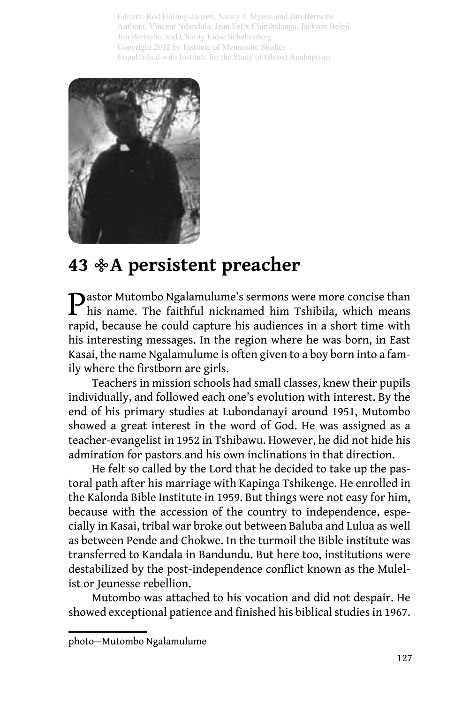Editors: Rod Holling-Janzen, Nancy J. Myers, and Jim Bertsche Authors: Vincent Ndandula, Jean Felix Chimbalanga, Jackson Beleji, Jim Bertsche, and Charity Eidse Schellenberg Copyright 2012 by Institute of Mennonite Studies Copublished with Institute for the Study of Global Anabaptism



## **43 %A persistent preacher**

Pastor Mutombo Ngalamulume's sermons were more concise than his name. The faithful nicknamed him Tshibila, which means rapid, because he could capture his audiences in a short time with his interesting messages. In the region where he was born, in East Kasai, the name Ngalamulume is often given to a boy born into a family where the firstborn are girls.

Teachers in mission schools had small classes, knew their pupils individually, and followed each one's evolution with interest. By the end of his primary studies at Lubondanayi around 1951, Mutombo showed a great interest in the word of God. He was assigned as a teacher-evangelist in 1952 in Tshibawu. However, he did not hide his admiration for pastors and his own inclinations in that direction.

He felt so called by the Lord that he decided to take up the pastoral path after his marriage with Kapinga Tshikenge. He enrolled in the Kalonda Bible Institute in 1959. But things were not easy for him, because with the accession of the country to independence, especially in Kasai, tribal war broke out between Baluba and Lulua as well as between Pende and Chokwe. In the turmoil the Bible institute was transferred to Kandala in Bandundu. But here too, institutions were destabilized by the post-independence conflict known as the Mulelist or Jeunesse rebellion.

Mutombo was attached to his vocation and did not despair. He showed exceptional patience and finished his biblical studies in 1967.

photo—Mutombo Ngalamulume